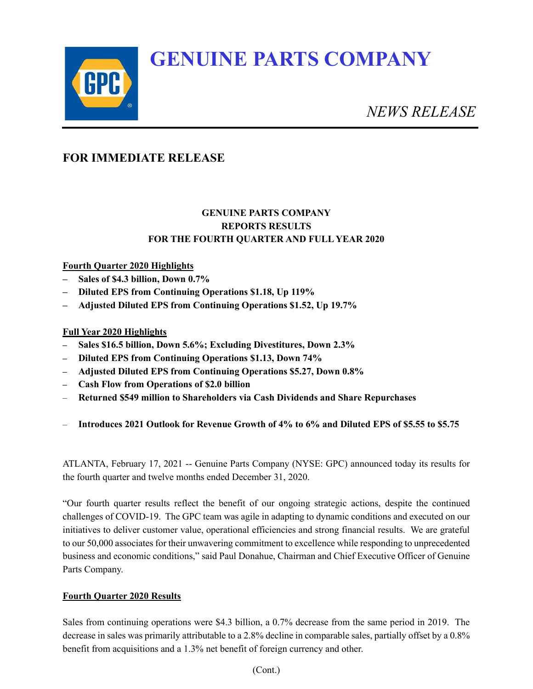# **GENUINE PARTS COMPANY**



*NEWS RELEASE*

# **FOR IMMEDIATE RELEASE**

## **GENUINE PARTS COMPANY REPORTS RESULTS FOR THE FOURTH QUARTER AND FULL YEAR 2020**

## **Fourth Quarter 2020 Highlights**

- **– Sales of \$4.3 billion, Down 0.7%**
- **– Diluted EPS from Continuing Operations \$1.18, Up 119%**
- **– Adjusted Diluted EPS from Continuing Operations \$1.52, Up 19.7%**

## **Full Year 2020 Highlights**

- **– Sales \$16.5 billion, Down 5.6%; Excluding Divestitures, Down 2.3%**
- **– Diluted EPS from Continuing Operations \$1.13, Down 74%**
- **– Adjusted Diluted EPS from Continuing Operations \$5.27, Down 0.8%**
- **– Cash Flow from Operations of \$2.0 billion**
- **Returned \$549 million to Shareholders via Cash Dividends and Share Repurchases**
- **Introduces 2021 Outlook for Revenue Growth of 4% to 6% and Diluted EPS of \$5.55 to \$5.75**

ATLANTA, February 17, 2021 -- Genuine Parts Company (NYSE: GPC) announced today its results for the fourth quarter and twelve months ended December 31, 2020.

"Our fourth quarter results reflect the benefit of our ongoing strategic actions, despite the continued challenges of COVID-19. The GPC team was agile in adapting to dynamic conditions and executed on our initiatives to deliver customer value, operational efficiencies and strong financial results. We are grateful to our 50,000 associates for their unwavering commitment to excellence while responding to unprecedented business and economic conditions," said Paul Donahue, Chairman and Chief Executive Officer of Genuine Parts Company.

## **Fourth Quarter 2020 Results**

Sales from continuing operations were \$4.3 billion, a 0.7% decrease from the same period in 2019. The decrease in sales was primarily attributable to a 2.8% decline in comparable sales, partially offset by a 0.8% benefit from acquisitions and a 1.3% net benefit of foreign currency and other.

(Cont.)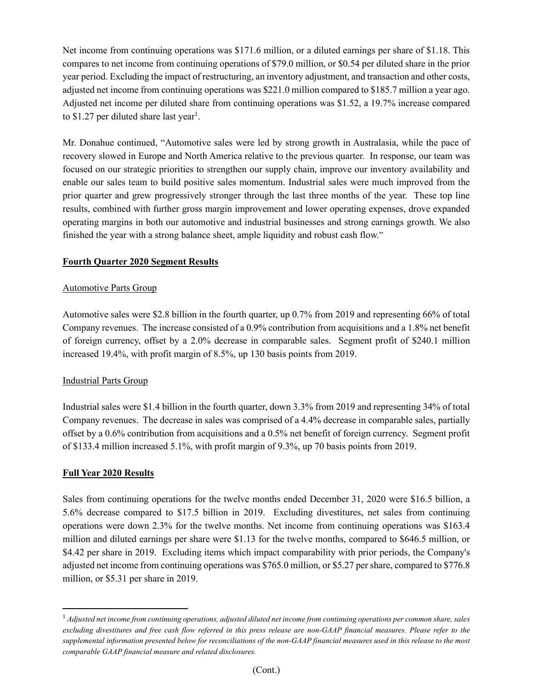Net income from continuing operations was \$171.6 million, or a diluted earnings per share of \$1.18. This compares to net income from continuing operations of \$79.0 million, or \$0.54 per diluted share in the prior year period. Excluding the impact of restructuring, an inventory adjustment, and transaction and other costs, adjusted net income from continuing operations was \$221.0 million compared to \$185.7 million a year ago. Adjusted net income per diluted share from continuing operations was \$1.52, a 19.7% increase compared to \$1.27 per diluted share last year<sup>1</sup>.

Mr. Donahue continued, "Automotive sales were led by strong growth in Australasia, while the pace of recovery slowed in Europe and North America relative to the previous quarter. In response, our team was focused on our strategic priorities to strengthen our supply chain, improve our inventory availability and enable our sales team to build positive sales momentum. Industrial sales were much improved from the prior quarter and grew progressively stronger through the last three months of the year. These top line results, combined with further gross margin improvement and lower operating expenses, drove expanded operating margins in both our automotive and industrial businesses and strong earnings growth. We also finished the year with a strong balance sheet, ample liquidity and robust cash flow."

## **Fourth Quarter 2020 Segment Results**

#### Automotive Parts Group

Automotive sales were \$2.8 billion in the fourth quarter, up 0.7% from 2019 and representing 66% of total Company revenues. The increase consisted of a 0.9% contribution from acquisitions and a 1.8% net benefit of foreign currency, offset by a 2.0% decrease in comparable sales. Segment profit of \$240.1 million increased 19.4%, with profit margin of 8.5%, up 130 basis points from 2019.

#### Industrial Parts Group

Industrial sales were \$1.4 billion in the fourth quarter, down 3.3% from 2019 and representing 34% of total Company revenues. The decrease in sales was comprised of a 4.4% decrease in comparable sales, partially offset by a 0.6% contribution from acquisitions and a 0.5% net benefit of foreign currency. Segment profit of \$133.4 million increased 5.1%, with profit margin of 9.3%, up 70 basis points from 2019.

#### **Full Year 2020 Results**

Sales from continuing operations for the twelve months ended December 31, 2020 were \$16.5 billion, a 5.6% decrease compared to \$17.5 billion in 2019. Excluding divestitures, net sales from continuing operations were down 2.3% for the twelve months. Net income from continuing operations was \$163.4 million and diluted earnings per share were \$1.13 for the twelve months, compared to \$646.5 million, or \$4.42 per share in 2019. Excluding items which impact comparability with prior periods, the Company's adjusted net income from continuing operations was \$765.0 million, or \$5.27 per share, compared to \$776.8 million, or \$5.31 per share in 2019.

<sup>1</sup> *Adjusted net income from continuing operations, adjusted diluted net income from continuing operations per common share, sales excluding divestitures and free cash flow referred in this press release are non-GAAP financial measures. Please refer to the supplemental information presented below for reconciliations of the non-GAAP financial measures used in this release to the most comparable GAAP financial measure and related disclosures.*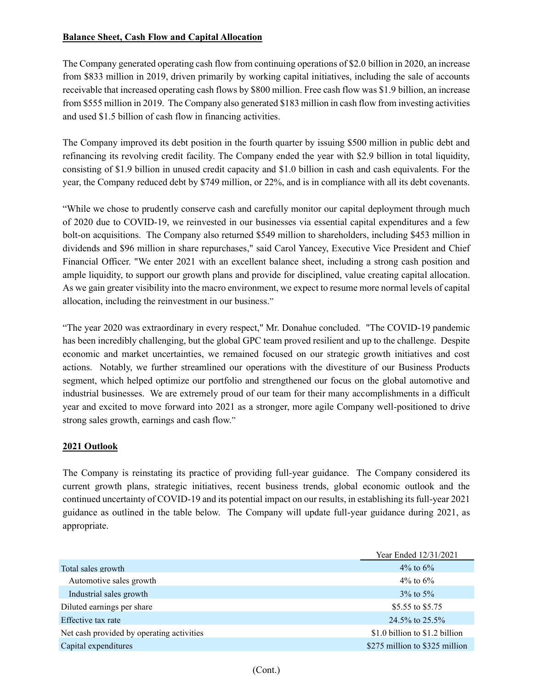## **Balance Sheet, Cash Flow and Capital Allocation**

The Company generated operating cash flow from continuing operations of \$2.0 billion in 2020, an increase from \$833 million in 2019, driven primarily by working capital initiatives, including the sale of accounts receivable that increased operating cash flows by \$800 million. Free cash flow was \$1.9 billion, an increase from \$555 million in 2019. The Company also generated \$183 million in cash flow from investing activities and used \$1.5 billion of cash flow in financing activities.

The Company improved its debt position in the fourth quarter by issuing \$500 million in public debt and refinancing its revolving credit facility. The Company ended the year with \$2.9 billion in total liquidity, consisting of \$1.9 billion in unused credit capacity and \$1.0 billion in cash and cash equivalents. For the year, the Company reduced debt by \$749 million, or 22%, and is in compliance with all its debt covenants.

"While we chose to prudently conserve cash and carefully monitor our capital deployment through much of 2020 due to COVID-19, we reinvested in our businesses via essential capital expenditures and a few bolt-on acquisitions. The Company also returned \$549 million to shareholders, including \$453 million in dividends and \$96 million in share repurchases," said Carol Yancey, Executive Vice President and Chief Financial Officer. "We enter 2021 with an excellent balance sheet, including a strong cash position and ample liquidity, to support our growth plans and provide for disciplined, value creating capital allocation. As we gain greater visibility into the macro environment, we expect to resume more normal levels of capital allocation, including the reinvestment in our business."

"The year 2020 was extraordinary in every respect," Mr. Donahue concluded. "The COVID-19 pandemic has been incredibly challenging, but the global GPC team proved resilient and up to the challenge. Despite economic and market uncertainties, we remained focused on our strategic growth initiatives and cost actions. Notably, we further streamlined our operations with the divestiture of our Business Products segment, which helped optimize our portfolio and strengthened our focus on the global automotive and industrial businesses. We are extremely proud of our team for their many accomplishments in a difficult year and excited to move forward into 2021 as a stronger, more agile Company well-positioned to drive strong sales growth, earnings and cash flow."

## **2021 Outlook**

The Company is reinstating its practice of providing full-year guidance. The Company considered its current growth plans, strategic initiatives, recent business trends, global economic outlook and the continued uncertainty of COVID-19 and its potential impact on our results, in establishing its full-year 2021 guidance as outlined in the table below. The Company will update full-year guidance during 2021, as appropriate.

|                                           | Year Ended 12/31/2021          |
|-------------------------------------------|--------------------------------|
| Total sales growth                        | 4\% to $6\%$                   |
| Automotive sales growth                   | $4\%$ to 6\%                   |
| Industrial sales growth                   | $3\%$ to $5\%$                 |
| Diluted earnings per share                | \$5.55 to \$5.75               |
| Effective tax rate                        | $24.5\%$ to $25.5\%$           |
| Net cash provided by operating activities | \$1.0 billion to \$1.2 billion |
| Capital expenditures                      | \$275 million to \$325 million |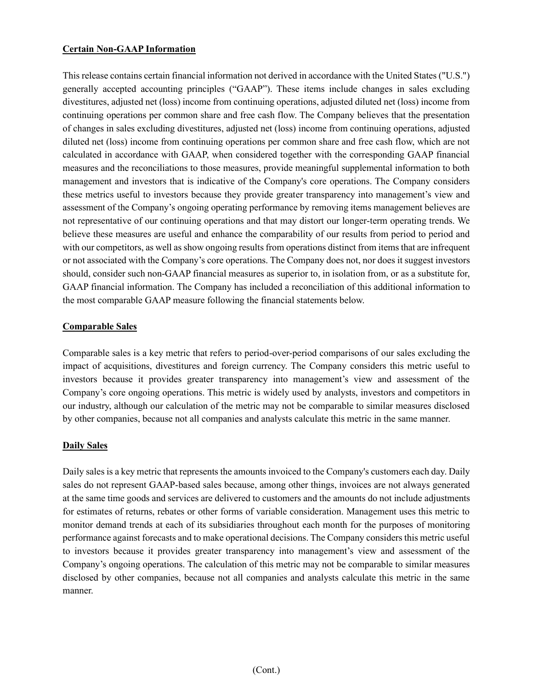#### **Certain Non-GAAP Information**

This release contains certain financial information not derived in accordance with the United States ("U.S.") generally accepted accounting principles ("GAAP"). These items include changes in sales excluding divestitures, adjusted net (loss) income from continuing operations, adjusted diluted net (loss) income from continuing operations per common share and free cash flow. The Company believes that the presentation of changes in sales excluding divestitures, adjusted net (loss) income from continuing operations, adjusted diluted net (loss) income from continuing operations per common share and free cash flow, which are not calculated in accordance with GAAP, when considered together with the corresponding GAAP financial measures and the reconciliations to those measures, provide meaningful supplemental information to both management and investors that is indicative of the Company's core operations. The Company considers these metrics useful to investors because they provide greater transparency into management's view and assessment of the Company's ongoing operating performance by removing items management believes are not representative of our continuing operations and that may distort our longer-term operating trends. We believe these measures are useful and enhance the comparability of our results from period to period and with our competitors, as well as show ongoing results from operations distinct from items that are infrequent or not associated with the Company's core operations. The Company does not, nor does it suggest investors should, consider such non-GAAP financial measures as superior to, in isolation from, or as a substitute for, GAAP financial information. The Company has included a reconciliation of this additional information to the most comparable GAAP measure following the financial statements below.

#### **Comparable Sales**

Comparable sales is a key metric that refers to period-over-period comparisons of our sales excluding the impact of acquisitions, divestitures and foreign currency. The Company considers this metric useful to investors because it provides greater transparency into management's view and assessment of the Company's core ongoing operations. This metric is widely used by analysts, investors and competitors in our industry, although our calculation of the metric may not be comparable to similar measures disclosed by other companies, because not all companies and analysts calculate this metric in the same manner.

## **Daily Sales**

Daily sales is a key metric that represents the amounts invoiced to the Company's customers each day. Daily sales do not represent GAAP-based sales because, among other things, invoices are not always generated at the same time goods and services are delivered to customers and the amounts do not include adjustments for estimates of returns, rebates or other forms of variable consideration. Management uses this metric to monitor demand trends at each of its subsidiaries throughout each month for the purposes of monitoring performance against forecasts and to make operational decisions. The Company considers this metric useful to investors because it provides greater transparency into management's view and assessment of the Company's ongoing operations. The calculation of this metric may not be comparable to similar measures disclosed by other companies, because not all companies and analysts calculate this metric in the same manner.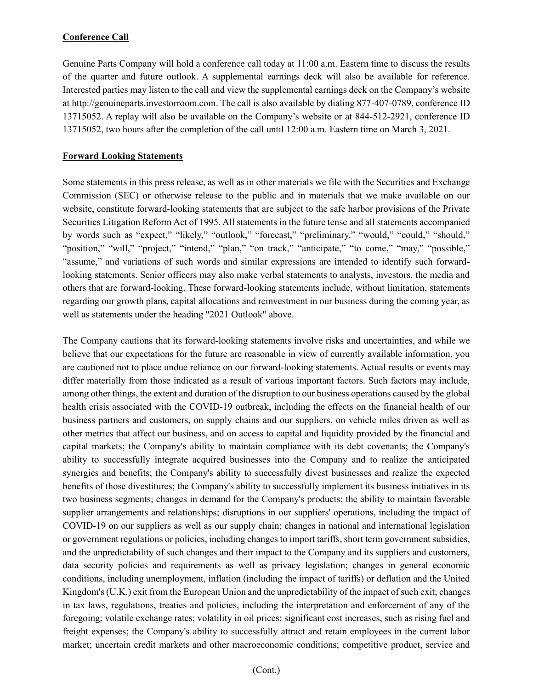## **Conference Call**

Genuine Parts Company will hold a conference call today at 11:00 a.m. Eastern time to discuss the results of the quarter and future outlook. A supplemental earnings deck will also be available for reference. Interested parties may listen to the call and view the supplemental earnings deck on the Company's website at http://genuineparts.investorroom.com. The call is also available by dialing 877-407-0789, conference ID 13715052. A replay will also be available on the Company's website or at 844-512-2921, conference ID 13715052, two hours after the completion of the call until 12:00 a.m. Eastern time on March 3, 2021.

#### **Forward Looking Statements**

Some statements in this press release, as well as in other materials we file with the Securities and Exchange Commission (SEC) or otherwise release to the public and in materials that we make available on our website, constitute forward-looking statements that are subject to the safe harbor provisions of the Private Securities Litigation Reform Act of 1995. All statements in the future tense and all statements accompanied by words such as "expect," "likely," "outlook," "forecast," "preliminary," "would," "could," "should," "position," "will," "project," "intend," "plan," "on track," "anticipate," "to come," "may," "possible," "assume," and variations of such words and similar expressions are intended to identify such forwardlooking statements. Senior officers may also make verbal statements to analysts, investors, the media and others that are forward-looking. These forward-looking statements include, without limitation, statements regarding our growth plans, capital allocations and reinvestment in our business during the coming year, as well as statements under the heading "2021 Outlook" above.

The Company cautions that its forward-looking statements involve risks and uncertainties, and while we believe that our expectations for the future are reasonable in view of currently available information, you are cautioned not to place undue reliance on our forward-looking statements. Actual results or events may differ materially from those indicated as a result of various important factors. Such factors may include, among other things, the extent and duration of the disruption to our business operations caused by the global health crisis associated with the COVID-19 outbreak, including the effects on the financial health of our business partners and customers, on supply chains and our suppliers, on vehicle miles driven as well as other metrics that affect our business, and on access to capital and liquidity provided by the financial and capital markets; the Company's ability to maintain compliance with its debt covenants; the Company's ability to successfully integrate acquired businesses into the Company and to realize the anticipated synergies and benefits; the Company's ability to successfully divest businesses and realize the expected benefits of those divestitures; the Company's ability to successfully implement its business initiatives in its two business segments; changes in demand for the Company's products; the ability to maintain favorable supplier arrangements and relationships; disruptions in our suppliers' operations, including the impact of COVID-19 on our suppliers as well as our supply chain; changes in national and international legislation or government regulations or policies, including changes to import tariffs, short term government subsidies, and the unpredictability of such changes and their impact to the Company and its suppliers and customers, data security policies and requirements as well as privacy legislation; changes in general economic conditions, including unemployment, inflation (including the impact of tariffs) or deflation and the United Kingdom's (U.K.) exit from the European Union and the unpredictability of the impact of such exit; changes in tax laws, regulations, treaties and policies, including the interpretation and enforcement of any of the foregoing; volatile exchange rates; volatility in oil prices; significant cost increases, such as rising fuel and freight expenses; the Company's ability to successfully attract and retain employees in the current labor market; uncertain credit markets and other macroeconomic conditions; competitive product, service and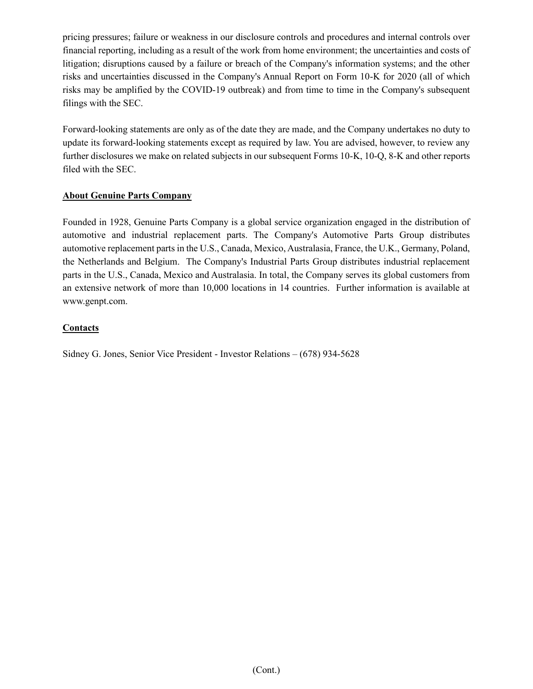pricing pressures; failure or weakness in our disclosure controls and procedures and internal controls over financial reporting, including as a result of the work from home environment; the uncertainties and costs of litigation; disruptions caused by a failure or breach of the Company's information systems; and the other risks and uncertainties discussed in the Company's Annual Report on Form 10-K for 2020 (all of which risks may be amplified by the COVID-19 outbreak) and from time to time in the Company's subsequent filings with the SEC.

Forward-looking statements are only as of the date they are made, and the Company undertakes no duty to update its forward-looking statements except as required by law. You are advised, however, to review any further disclosures we make on related subjects in our subsequent Forms 10-K, 10-Q, 8-K and other reports filed with the SEC.

## **About Genuine Parts Company**

Founded in 1928, Genuine Parts Company is a global service organization engaged in the distribution of automotive and industrial replacement parts. The Company's Automotive Parts Group distributes automotive replacement parts in the U.S., Canada, Mexico, Australasia, France, the U.K., Germany, Poland, the Netherlands and Belgium. The Company's Industrial Parts Group distributes industrial replacement parts in the U.S., Canada, Mexico and Australasia. In total, the Company serves its global customers from an extensive network of more than 10,000 locations in 14 countries. Further information is available at www.genpt.com.

## **Contacts**

Sidney G. Jones, Senior Vice President - Investor Relations – (678) 934-5628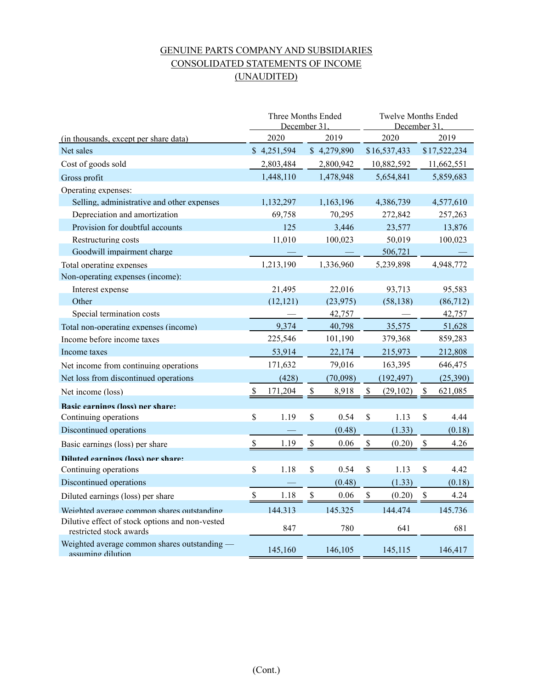# GENUINE PARTS COMPANY AND SUBSIDIARIES CONSOLIDATED STATEMENTS OF INCOME (UNAUDITED)

|                                                                            | Three Months Ended<br>December 31 |             |              | Twelve Months Ended<br>December 31 |    |              |                           |              |
|----------------------------------------------------------------------------|-----------------------------------|-------------|--------------|------------------------------------|----|--------------|---------------------------|--------------|
| (in thousands, except per share data)                                      |                                   | 2020        |              | 2019                               |    | 2020         |                           | 2019         |
| Net sales                                                                  |                                   | \$4,251,594 |              | \$4,279,890                        |    | \$16,537,433 |                           | \$17,522,234 |
| Cost of goods sold                                                         |                                   | 2,803,484   |              | 2,800,942                          |    | 10,882,592   |                           | 11,662,551   |
| Gross profit                                                               |                                   | 1,448,110   |              | 1,478,948                          |    | 5,654,841    |                           | 5,859,683    |
| Operating expenses:                                                        |                                   |             |              |                                    |    |              |                           |              |
| Selling, administrative and other expenses                                 |                                   | 1,132,297   |              | 1,163,196                          |    | 4,386,739    |                           | 4,577,610    |
| Depreciation and amortization                                              |                                   | 69,758      |              | 70,295                             |    | 272,842      |                           | 257,263      |
| Provision for doubtful accounts                                            |                                   | 125         |              | 3,446                              |    | 23,577       |                           | 13,876       |
| Restructuring costs                                                        |                                   | 11,010      |              | 100,023                            |    | 50,019       |                           | 100,023      |
| Goodwill impairment charge                                                 |                                   |             |              |                                    |    | 506,721      |                           |              |
| Total operating expenses                                                   |                                   | 1,213,190   |              | 1,336,960                          |    | 5,239,898    |                           | 4,948,772    |
| Non-operating expenses (income):                                           |                                   |             |              |                                    |    |              |                           |              |
| Interest expense                                                           |                                   | 21,495      |              | 22,016                             |    | 93,713       |                           | 95,583       |
| Other                                                                      |                                   | (12, 121)   |              | (23, 975)                          |    | (58, 138)    |                           | (86,712)     |
| Special termination costs                                                  |                                   |             |              | 42,757                             |    |              |                           | 42,757       |
| Total non-operating expenses (income)                                      |                                   | 9,374       |              | 40,798                             |    | 35,575       |                           | 51,628       |
| Income before income taxes                                                 |                                   | 225,546     |              | 101,190                            |    | 379,368      |                           | 859,283      |
| Income taxes                                                               |                                   | 53,914      |              | 22,174                             |    | 215,973      |                           | 212,808      |
| Net income from continuing operations                                      |                                   | 171,632     |              | 79,016                             |    | 163,395      |                           | 646,475      |
| Net loss from discontinued operations                                      |                                   | (428)       |              | (70,098)                           |    | (192, 497)   |                           | (25,390)     |
| Net income (loss)                                                          |                                   | 171,204     |              | 8,918                              |    | (29, 102)    | \$                        | 621,085      |
| Rasic earnings (loss) ner share:                                           |                                   |             |              |                                    |    |              |                           |              |
| Continuing operations                                                      | \$                                | 1.19        | \$           | 0.54                               | \$ | 1.13         | \$                        | 4.44         |
| Discontinued operations                                                    |                                   |             |              | (0.48)                             |    | (1.33)       |                           | (0.18)       |
| Basic earnings (loss) per share                                            | \$                                | 1.19        | \$           | 0.06                               | \$ | (0.20)       | $\boldsymbol{\mathsf{S}}$ | 4.26         |
| Diluted earnings (loss) ner share:                                         |                                   |             |              |                                    |    |              |                           |              |
| Continuing operations                                                      | \$                                | 1.18        | \$           | 0.54                               | \$ | 1.13         | \$                        | 4.42         |
| Discontinued operations                                                    |                                   |             |              | (0.48)                             |    | (1.33)       |                           | (0.18)       |
| Diluted earnings (loss) per share                                          | $\mathbb{S}$                      | 1.18        | $\mathbb{S}$ | 0.06                               | \$ | (0.20)       | $\mathcal{S}$             | 4.24         |
| Weighted average common shares outstanding                                 |                                   | 144.313     |              | 145.325                            |    | 144,474      |                           | 145.736      |
| Dilutive effect of stock options and non-vested<br>restricted stock awards |                                   | 847         |              | 780                                |    | 641          |                           | 681          |
| Weighted average common shares outstanding —<br>assuming dilution          |                                   | 145,160     |              | 146,105                            |    | 145,115      |                           | 146,417      |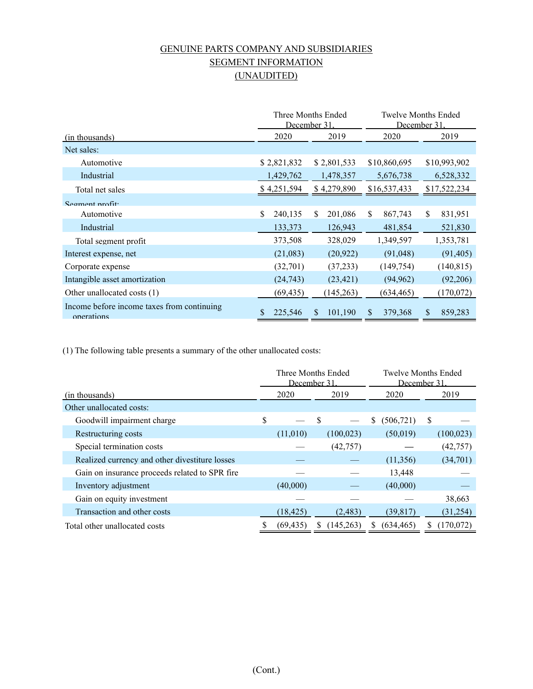# GENUINE PARTS COMPANY AND SUBSIDIARIES SEGMENT INFORMATION (UNAUDITED)

|                                                          |               | Three Months Ended<br>December 31. |                | Twelve Months Ended<br>December 31. |
|----------------------------------------------------------|---------------|------------------------------------|----------------|-------------------------------------|
| (in thousands)                                           | 2020          | 2019                               | 2020           | 2019                                |
| Net sales:                                               |               |                                    |                |                                     |
| Automotive                                               | \$2,821,832   | \$2,801,533                        | \$10,860,695   | \$10,993,902                        |
| Industrial                                               | 1,429,762     | 1,478,357                          | 5,676,738      | 6,528,332                           |
| Total net sales                                          | \$4,251,594   | \$4,279,890                        | \$16,537,433   | \$17,522,234                        |
| $S$ egment profit                                        |               |                                    |                |                                     |
| Automotive                                               | \$<br>240,135 | \$.<br>201,086                     | \$<br>867,743  | \$<br>831,951                       |
| Industrial                                               | 133,373       | 126,943                            | 481,854        | 521,830                             |
| Total segment profit                                     | 373,508       | 328,029                            | 1,349,597      | 1,353,781                           |
| Interest expense, net                                    | (21,083)      | (20, 922)                          | (91,048)       | (91, 405)                           |
| Corporate expense                                        | (32,701)      | (37,233)                           | (149, 754)     | (140, 815)                          |
| Intangible asset amortization                            | (24, 743)     | (23, 421)                          | (94, 962)      | (92,206)                            |
| Other unallocated costs (1)                              | (69, 435)     | (145,263)                          | (634, 465)     | (170,072)                           |
| Income before income taxes from continuing<br>operations | 225,546       | 101,190                            | \$.<br>379,368 | \$<br>859,283                       |

(1) The following table presents a summary of the other unallocated costs:

|                                                | Three Months Ended<br>December 31. |           |               |            |                  | <b>Twelve Months Ended</b><br>December 31. |  |
|------------------------------------------------|------------------------------------|-----------|---------------|------------|------------------|--------------------------------------------|--|
| (in thousands)                                 |                                    | 2020      |               | 2019       | 2020             | 2019                                       |  |
| Other unallocated costs:                       |                                    |           |               |            |                  |                                            |  |
| Goodwill impairment charge                     | \$                                 |           | <sup>\$</sup> |            | (506, 721)<br>\$ | S                                          |  |
| Restructuring costs                            |                                    | (11,010)  |               | (100, 023) | (50,019)         | (100, 023)                                 |  |
| Special termination costs                      |                                    |           |               | (42, 757)  |                  | (42, 757)                                  |  |
| Realized currency and other divestiture losses |                                    |           |               |            | (11,356)         | (34,701)                                   |  |
| Gain on insurance proceeds related to SPR fire |                                    |           |               |            | 13,448           |                                            |  |
| Inventory adjustment                           |                                    | (40,000)  |               |            | (40,000)         |                                            |  |
| Gain on equity investment                      |                                    |           |               |            |                  | 38,663                                     |  |
| Transaction and other costs                    |                                    | (18, 425) |               | (2, 483)   | (39,817)         | (31, 254)                                  |  |
| Total other unallocated costs                  |                                    | (69, 435) | S             | (145,263)  | (634, 465)<br>S  | (170,072)<br>S                             |  |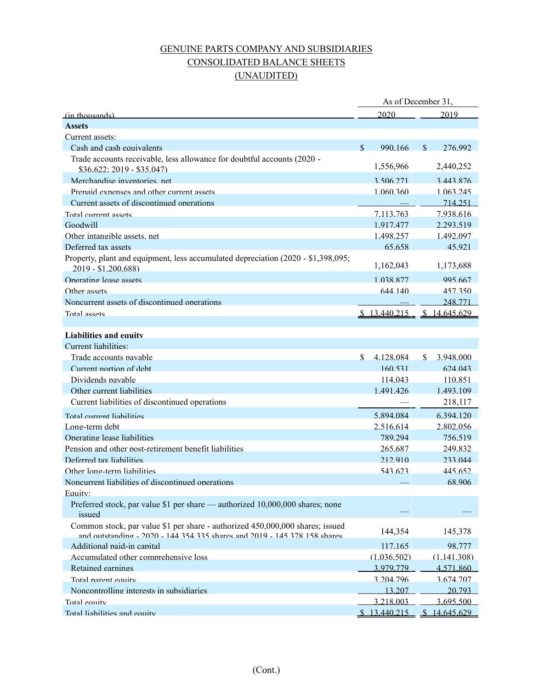# GENUINE PARTS COMPANY AND SUBSIDIARIES CONSOLIDATED BALANCE SHEETS (UNAUDITED)

|                                                                                                                                                            |               | As of December 31,          |               |              |
|------------------------------------------------------------------------------------------------------------------------------------------------------------|---------------|-----------------------------|---------------|--------------|
| <u>(in thousands)</u>                                                                                                                                      |               | 2020                        |               | 2019         |
| <b>Assets</b>                                                                                                                                              |               |                             |               |              |
| Current assets:                                                                                                                                            |               |                             |               |              |
| Cash and cash equivalents                                                                                                                                  | $\mathcal{S}$ | 990.166                     | $\mathcal{S}$ | 276.992      |
| Trade accounts receivable, less allowance for doubtful accounts (2020 -                                                                                    |               |                             |               |              |
| $$36.622: 2019 - $35.047$                                                                                                                                  |               | 1,556,966                   |               | 2,440,252    |
| Merchandise inventories, net                                                                                                                               |               | 3.506.271                   |               | 3.443.876    |
| Prenaid expenses and other current assets                                                                                                                  |               | 1.060.360                   |               | 1.063.245    |
| Current assets of discontinued operations                                                                                                                  |               |                             |               | 714.251      |
| Total current assets                                                                                                                                       |               | 7.113.763                   |               | 7.938.616    |
| Goodwill                                                                                                                                                   |               | 1.917.477                   |               | 2.293.519    |
| Other intangible assets, net                                                                                                                               |               | 1.498.257                   |               | 1.492.097    |
| Deferred tax assets                                                                                                                                        |               | 65.658                      |               | 45.921       |
| Property, plant and equipment, less accumulated depreciation (2020 - \$1,398,095;<br>2019 - \$1.200.688)                                                   |               | 1,162,043                   |               | 1,173,688    |
| Operating lease assets                                                                                                                                     |               | 1.038.877                   |               | 995.667      |
| Other assets                                                                                                                                               |               | 644.140                     |               | 457.350      |
| Noncurrent assets of discontinued operations                                                                                                               |               |                             |               | 248.771      |
| Total assets                                                                                                                                               |               | $$13.440.215$ $$14.645.629$ |               |              |
|                                                                                                                                                            |               |                             |               |              |
| <b>Liabilities and equity</b>                                                                                                                              |               |                             |               |              |
| Current liabilities:                                                                                                                                       |               |                             |               |              |
| Trade accounts pavable                                                                                                                                     | $\mathcal{S}$ | 4.128.084                   | \$            | 3.948.000    |
| Current portion of debt                                                                                                                                    |               | 160.531                     |               | 624,043      |
| Dividends pavable                                                                                                                                          |               | 114,043                     |               | 110.851      |
| Other current liabilities                                                                                                                                  |               | 1.491.426                   |               | 1.493.109    |
| Current liabilities of discontinued operations                                                                                                             |               |                             |               | 218,117      |
| Total current liabilities                                                                                                                                  |               | 5.894.084                   |               | 6.394.120    |
| Long-term debt                                                                                                                                             |               | 2.516.614                   |               | 2.802.056    |
| Operating lease liabilities                                                                                                                                |               | 789.294                     |               | 756.519      |
| Pension and other post-retirement benefit liabilities                                                                                                      |               | 265.687                     |               | 249.832      |
| Deferred tax liabilities                                                                                                                                   |               | 212.910                     |               | 233,044      |
| Other long-term liabilities                                                                                                                                |               | 543.623                     |               | 445.652      |
| Noncurrent liabilities of discontinued operations                                                                                                          |               |                             |               | 68.906       |
| Equity:                                                                                                                                                    |               |                             |               |              |
| Preferred stock, par value \$1 per share — authorized 10,000,000 shares; none<br>issued                                                                    |               |                             |               |              |
| Common stock, par value \$1 per share - authorized 450,000,000 shares; issued<br>and outstanding - 2020 - 144 354 335 shares and 2019 - 145 378 158 shares |               | 144,354                     |               | 145,378      |
| Additional paid-in capital                                                                                                                                 |               | 117.165                     |               | 98.777       |
| Accumulated other comprehensive loss                                                                                                                       |               | (1.036.502)                 |               | (1.141.308)  |
| Retained earnings                                                                                                                                          |               | 3.979.779                   |               | 4.571.860    |
| Total parent equity                                                                                                                                        |               | 3.204.796                   |               | 3.674.707    |
| Noncontrolling interests in subsidiaries                                                                                                                   |               | 13.207                      |               | 20.793       |
| Total equity                                                                                                                                               |               | 3.218.003                   |               | 3.695.500    |
| Total liabilities and equity                                                                                                                               |               | \$13,440,215                |               | \$14.645.629 |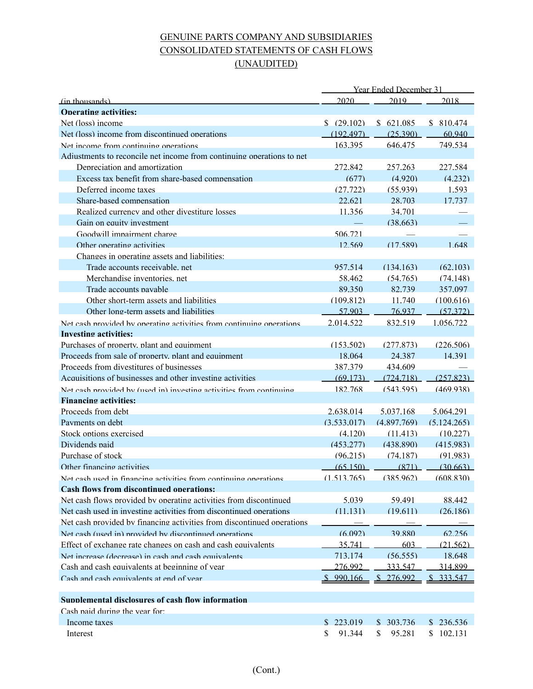# GENUINE PARTS COMPANY AND SUBSIDIARIES CONSOLIDATED STATEMENTS OF CASH FLOWS (UNAUDITED)

|                                                                        | <b>Year Ended December 31</b> |               |             |
|------------------------------------------------------------------------|-------------------------------|---------------|-------------|
| (in thousands)                                                         | 2020                          | 2019          | 2018        |
| <b>Operating activities:</b>                                           |                               |               |             |
| Net (loss) income                                                      | \$ (29.102)                   | \$621.085     | \$810.474   |
| Net (loss) income from discontinued operations                         | (192.497)                     | (25.390)      | 60.940      |
| Net income from continuing operations                                  | 163.395                       | 646.475       | 749.534     |
| Adjustments to reconcile net income from continuing operations to net  |                               |               |             |
| Depreciation and amortization                                          | 272.842                       | 257.263       | 227.584     |
| Excess tax benefit from share-based compensation                       | (677)                         | (4.920)       | (4.232)     |
| Deferred income taxes                                                  | (27.722)                      | (55.939)      | 1.593       |
| Share-based compensation                                               | 22.621                        | 28.703        | 17.737      |
| Realized currency and other divestiture losses                         | 11.356                        | 34.701        |             |
| Gain on equity investment                                              |                               | (38.663)      |             |
| Goodwill impairment charge                                             | 506.721                       |               |             |
| Other operating activities                                             | 12.569                        | (17.589)      | 1.648       |
| Changes in operating assets and liabilities:                           |                               |               |             |
| Trade accounts receivable, net                                         | 957.514                       | (134.163)     | (62.103)    |
| Merchandise inventories, net                                           | 58.462                        | (54.765)      | (74.148)    |
| Trade accounts pavable                                                 | 89.350                        | 82.739        | 357,097     |
| Other short-term assets and liabilities                                | (109.812)                     | 11.740        | (100.616)   |
| Other long-term assets and liabilities                                 | 57.903                        | 76,937        | (57.372)    |
| Net cash provided by operating activities from continuing operations   | 2.014.522                     | 832.519       | 1.056.722   |
| Investing activities:                                                  |                               |               |             |
| Purchases of property, plant and equipment                             | (153.502)                     | (277.873)     | (226.506)   |
| Proceeds from sale of property, plant and equipment                    | 18.064                        | 24.387        | 14.391      |
| Proceeds from divestitures of businesses                               | 387.379                       | 434.609       |             |
| Acquisitions of businesses and other investing activities              | (69.173)                      | (724.718)     | (257.823)   |
| Net cash provided by (used in) investing activities from continuing    | 182.768                       | (543.595)     | (469.938)   |
| <b>Financing activities:</b>                                           |                               |               |             |
| Proceeds from debt                                                     | 2.638,014                     | 5.037.168     | 5.064.291   |
| Payments on debt                                                       | (3.533.017)                   | (4,897,769)   | (5.124.265) |
| Stock options exercised                                                | (4.120)                       | (11.413)      | (10.227)    |
| Dividends paid                                                         | (453.277)                     | (438.890)     | (415.983)   |
| Purchase of stock                                                      | (96.215)                      | (74.187)      | (91.983)    |
| Other financing activities                                             | (65,150)                      | (871)         | (30.663)    |
| Net cash used in financino activities from continuino onerations       | (1.513.765)                   | (385.962)     | (608.830)   |
| <b>Cash flows from discontinued operations:</b>                        |                               |               |             |
| Net cash flows provided by operating activities from discontinued      | 5.039                         | 59.491        | 88.442      |
| Net cash used in investing activities from discontinued operations     | (11.131)                      | (19.611)      | (26.186)    |
| Net cash provided by financing activities from discontinued operations |                               |               |             |
| Net cash (used in) provided by discontinued operations                 | (6.092)                       | 39.880        | 62.256      |
| Effect of exchange rate changes on cash and cash equivalents           | 35.741                        | 603           | (21.562)    |
| Net increase (decrease) in cash and cash equivalents                   | 713.174                       | (56.555)      | 18.648      |
| Cash and cash equivalents at heginning of year                         | 276.992                       | 333.547       | 314.899     |
| Cash and cash equivalents at end of year                               | \$990.166                     | 276.992       | 333.547     |
|                                                                        |                               |               |             |
| Sunnlemental disclosures of cash flow information                      |                               |               |             |
| Cash paid during the year for:                                         |                               |               |             |
| Income taxes                                                           | \$223.019                     | 303.736<br>S. | \$236.536   |
| Interest                                                               | \$<br>91.344                  | \$<br>95.281  | \$102.131   |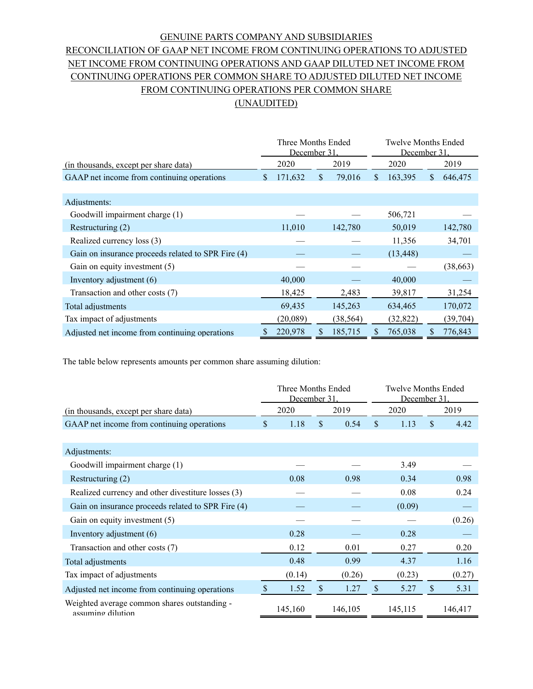# GENUINE PARTS COMPANY AND SUBSIDIARIES RECONCILIATION OF GAAP NET INCOME FROM CONTINUING OPERATIONS TO ADJUSTED NET INCOME FROM CONTINUING OPERATIONS AND GAAP DILUTED NET INCOME FROM CONTINUING OPERATIONS PER COMMON SHARE TO ADJUSTED DILUTED NET INCOME FROM CONTINUING OPERATIONS PER COMMON SHARE (UNAUDITED)

|                                                    | Three Months Ended<br>December 31 |    |           | <b>Twelve Months Ended</b><br>December 31 |           |     |           |
|----------------------------------------------------|-----------------------------------|----|-----------|-------------------------------------------|-----------|-----|-----------|
| (in thousands, except per share data)              | 2020                              |    | 2019      | 2020                                      |           |     | 2019      |
| GAAP net income from continuing operations         | \$<br>171,632                     | \$ | 79,016    | \$.                                       | 163,395   | \$. | 646,475   |
|                                                    |                                   |    |           |                                           |           |     |           |
| Adjustments:                                       |                                   |    |           |                                           |           |     |           |
| Goodwill impairment charge (1)                     |                                   |    |           |                                           | 506,721   |     |           |
| Restructuring (2)                                  | 11,010                            |    | 142,780   |                                           | 50,019    |     | 142,780   |
| Realized currency loss (3)                         |                                   |    |           |                                           | 11,356    |     | 34,701    |
| Gain on insurance proceeds related to SPR Fire (4) |                                   |    |           |                                           | (13, 448) |     |           |
| Gain on equity investment (5)                      |                                   |    |           |                                           |           |     | (38, 663) |
| Inventory adjustment $(6)$                         | 40,000                            |    |           |                                           | 40,000    |     |           |
| Transaction and other costs (7)                    | 18,425                            |    | 2,483     |                                           | 39,817    |     | 31,254    |
| Total adjustments                                  | 69,435                            |    | 145,263   |                                           | 634,465   |     | 170,072   |
| Tax impact of adjustments                          | (20,089)                          |    | (38, 564) |                                           | (32, 822) |     | (39, 704) |
| Adjusted net income from continuing operations     | 220,978                           | \$ | 185,715   | \$                                        | 765,038   | \$  | 776,843   |

The table below represents amounts per common share assuming dilution:

|                                                                   | Three Months Ended<br>December 31 |         |               | Twelve Months Ended<br>December 31 |    |         |               |         |
|-------------------------------------------------------------------|-----------------------------------|---------|---------------|------------------------------------|----|---------|---------------|---------|
| (in thousands, except per share data)                             |                                   | 2020    |               | 2019                               |    | 2020    |               | 2019    |
| GAAP net income from continuing operations                        | \$.                               | 1.18    | $\mathcal{S}$ | 0.54                               | \$ | 1.13    | $\mathcal{S}$ | 4.42    |
|                                                                   |                                   |         |               |                                    |    |         |               |         |
| Adjustments:                                                      |                                   |         |               |                                    |    |         |               |         |
| Goodwill impairment charge (1)                                    |                                   |         |               |                                    |    | 3.49    |               |         |
| Restructuring (2)                                                 |                                   | 0.08    |               | 0.98                               |    | 0.34    |               | 0.98    |
| Realized currency and other divestiture losses (3)                |                                   |         |               |                                    |    | 0.08    |               | 0.24    |
| Gain on insurance proceeds related to SPR Fire (4)                |                                   |         |               |                                    |    | (0.09)  |               |         |
| Gain on equity investment (5)                                     |                                   |         |               |                                    |    |         |               | (0.26)  |
| Inventory adjustment $(6)$                                        |                                   | 0.28    |               |                                    |    | 0.28    |               |         |
| Transaction and other costs (7)                                   |                                   | 0.12    |               | 0.01                               |    | 0.27    |               | 0.20    |
| Total adjustments                                                 |                                   | 0.48    |               | 0.99                               |    | 4.37    |               | 1.16    |
| Tax impact of adjustments                                         |                                   | (0.14)  |               | (0.26)                             |    | (0.23)  |               | (0.27)  |
| Adjusted net income from continuing operations                    | \$                                | 1.52    | \$            | 1.27                               | \$ | 5.27    | \$            | 5.31    |
| Weighted average common shares outstanding -<br>assuming dilution |                                   | 145,160 |               | 146,105                            |    | 145,115 |               | 146,417 |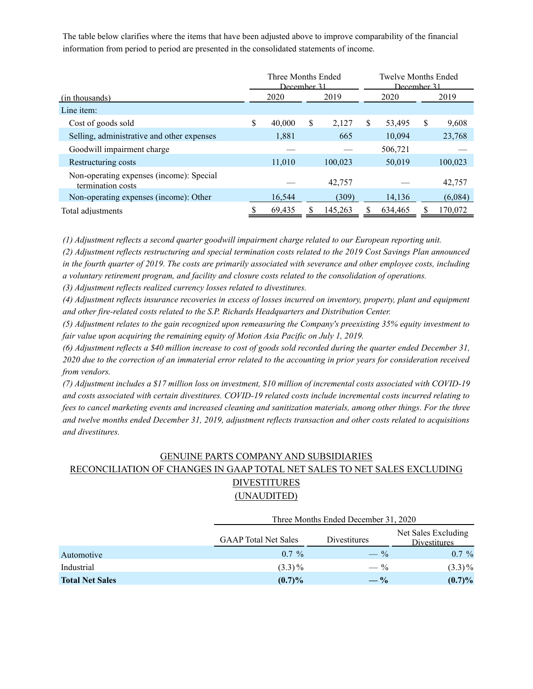The table below clarifies where the items that have been adjusted above to improve comparability of the financial information from period to period are presented in the consolidated statements of income.

|                                                               | Three Months Ended<br>December 31 |        |    | Twelve Months Ended<br>December 31 |              |    |         |
|---------------------------------------------------------------|-----------------------------------|--------|----|------------------------------------|--------------|----|---------|
| (in thousands)                                                |                                   | 2020   |    | 2019                               | 2020         |    | 2019    |
| Line item:                                                    |                                   |        |    |                                    |              |    |         |
| Cost of goods sold                                            | \$                                | 40,000 | \$ | 2,127                              | \$<br>53,495 | \$ | 9,608   |
| Selling, administrative and other expenses                    |                                   | 1,881  |    | 665                                | 10,094       |    | 23,768  |
| Goodwill impairment charge                                    |                                   |        |    |                                    | 506,721      |    |         |
| Restructuring costs                                           |                                   | 11,010 |    | 100.023                            | 50,019       |    | 100,023 |
| Non-operating expenses (income): Special<br>termination costs |                                   |        |    | 42,757                             |              |    | 42,757  |
| Non-operating expenses (income): Other                        |                                   | 16,544 |    | (309)                              | 14,136       |    | (6,084) |
| Total adjustments                                             |                                   | 69,435 |    | 145,263                            | 634,465      |    | 170,072 |

*(1) Adjustment reflects a second quarter goodwill impairment charge related to our European reporting unit.*

*(2) Adjustment reflects restructuring and special termination costs related to the 2019 Cost Savings Plan announced in the fourth quarter of 2019. The costs are primarily associated with severance and other employee costs, including a voluntary retirement program, and facility and closure costs related to the consolidation of operations.*

*(3) Adjustment reflects realized currency losses related to divestitures.*

*(4) Adjustment reflects insurance recoveries in excess of losses incurred on inventory, property, plant and equipment and other fire-related costs related to the S.P. Richards Headquarters and Distribution Center.* 

*(5) Adjustment relates to the gain recognized upon remeasuring the Company's preexisting 35% equity investment to fair value upon acquiring the remaining equity of Motion Asia Pacific on July 1, 2019.*

*(6) Adjustment reflects a \$40 million increase to cost of goods sold recorded during the quarter ended December 31, 2020 due to the correction of an immaterial error related to the accounting in prior years for consideration received from vendors.* 

*(7) Adjustment includes a \$17 million loss on investment, \$10 million of incremental costs associated with COVID-19 and costs associated with certain divestitures. COVID-19 related costs include incremental costs incurred relating to fees to cancel marketing events and increased cleaning and sanitization materials, among other things. For the three and twelve months ended December 31, 2019, adjustment reflects transaction and other costs related to acquisitions and divestitures.*

# GENUINE PARTS COMPANY AND SUBSIDIARIES RECONCILIATION OF CHANGES IN GAAP TOTAL NET SALES TO NET SALES EXCLUDING **DIVESTITURES** (UNAUDITED)

|                        |                             | Three Months Ended December 31, 2020 |                                     |  |  |  |  |  |  |
|------------------------|-----------------------------|--------------------------------------|-------------------------------------|--|--|--|--|--|--|
|                        | <b>GAAP</b> Total Net Sales | Divestitures                         | Net Sales Excluding<br>Divestitures |  |  |  |  |  |  |
| Automotive             | $0.7\%$                     | $- \frac{9}{6}$                      | $0.7\%$                             |  |  |  |  |  |  |
| Industrial             | $(3.3)\%$                   | $-$ %                                | $(3.3)\%$                           |  |  |  |  |  |  |
| <b>Total Net Sales</b> | $(0.7)\%$                   | $- \frac{6}{6}$                      | $(0.7)\%$                           |  |  |  |  |  |  |